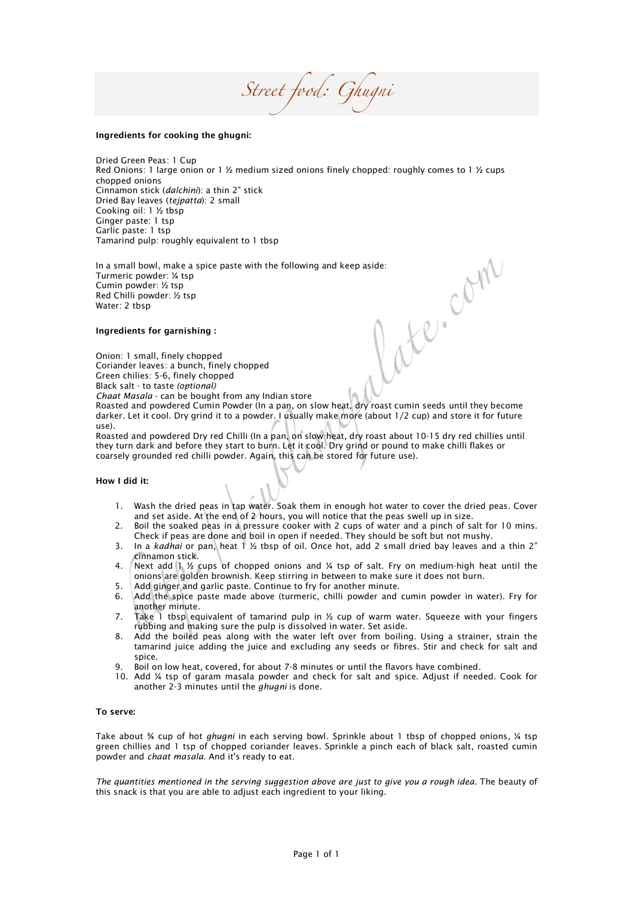*Street food: Ghugni* 

## Ingredients for cooking the ghugni:

Dried Green Peas: 1 Cup Red Onions: 1 large onion or 1  $\frac{1}{2}$  medium sized onions finely chopped: roughly comes to 1  $\frac{1}{2}$  cups chopped onions Cinnamon stick (*dalchini*): a thin 2" stick Dried Bay leaves (*tejpatta*): 2 small Cooking oil: 1 ½ tbsp Ginger paste: 1 tsp Garlic paste: 1 tsp Tamarind pulp: roughly equivalent to 1 tbsp

In a small bowl, make a spice paste with the following and keep aside:<br>
Turmeric powder: 1/4 tsp<br>
Cumin powder: 1/4 tsp<br>
Red Chilli powder: 1/4 tsp<br>
Water: 2 tbsp<br>
Water: 2 tbsp<br>
Ingredients for garnishing :<br>
Onion: 1 sma Turmeric powder: ¼ tsp Cumin powder: ½ tsp Red Chilli powder: ½ tsp Water: 2 tbsp

## Ingredients for garnishing :

Onion: 1 small, finely chopped

Coriander leaves: a bunch, finely chopped Green chilies: 5-6, finely chopped

Black salt - to taste *(optional)*

*Chaat Masala* - can be bought from any Indian store

Roasted and powdered Cumin Powder (In a pan, on slow heat, dry roast cumin seeds until they become darker. Let it cool. Dry grind it to a powder. I usually make more (about 1/2 cup) and store it for future use).

Roasted and powdered Dry red Chilli (In a pan, on slow heat, dry roast about 10-15 dry red chillies until they turn dark and before they start to burn. Let it cool. Dry grind or pound to make chilli flakes or coarsely grounded red chilli powder. Again, this can be stored for future use).

## How I did it:

- 1. Wash the dried peas in tap water. Soak them in enough hot water to cover the dried peas. Cover and set aside. At the end of 2 hours, you will notice that the peas swell up in size.
- 2. Boil the soaked peas in a pressure cooker with 2 cups of water and a pinch of salt for 10 mins. Check if peas are done and boil in open if needed. They should be soft but not mushy.
- 3. In a *kadhai* or pan, heat 1 ½ tbsp of oil. Once hot, add 2 small dried bay leaves and a thin 2" cinnamon stick.
- 4. Next add 1  $\frac{1}{2}$  cups of chopped onions and  $\frac{1}{2}$  tsp of salt. Fry on medium-high heat until the onions are golden brownish. Keep stirring in between to make sure it does not burn.
- 5.  $\Box$  Add ginger and garlic paste. Continue to fry for another minute.
- 6. Add the spice paste made above (turmeric, chilli powder and cumin powder in water). Fry for another minute.
- 7. Take 1 tbsp equivalent of tamarind pulp in  $\frac{1}{2}$  cup of warm water. Squeeze with your fingers rubbing and making sure the pulp is dissolved in water. Set aside.
- 8. Add the boiled peas along with the water left over from boiling. Using a strainer, strain the tamarind juice adding the juice and excluding any seeds or fibres. Stir and check for salt and spice.
- Boil on low heat, covered, for about 7-8 minutes or until the flavors have combined.
- 10. Add ¼ tsp of garam masala powder and check for salt and spice. Adjust if needed. Cook for another 2-3 minutes until the *ghugni* is done.

## To serve:

Take about ¾ cup of hot *ghugni* in each serving bowl. Sprinkle about 1 tbsp of chopped onions, ¼ tsp green chillies and 1 tsp of chopped coriander leaves. Sprinkle a pinch each of black salt, roasted cumin powder and *chaat masala*. And it's ready to eat.

*The quantities mentioned in the serving suggestion above are just to give you a rough idea.* The beauty of this snack is that you are able to adjust each ingredient to your liking.